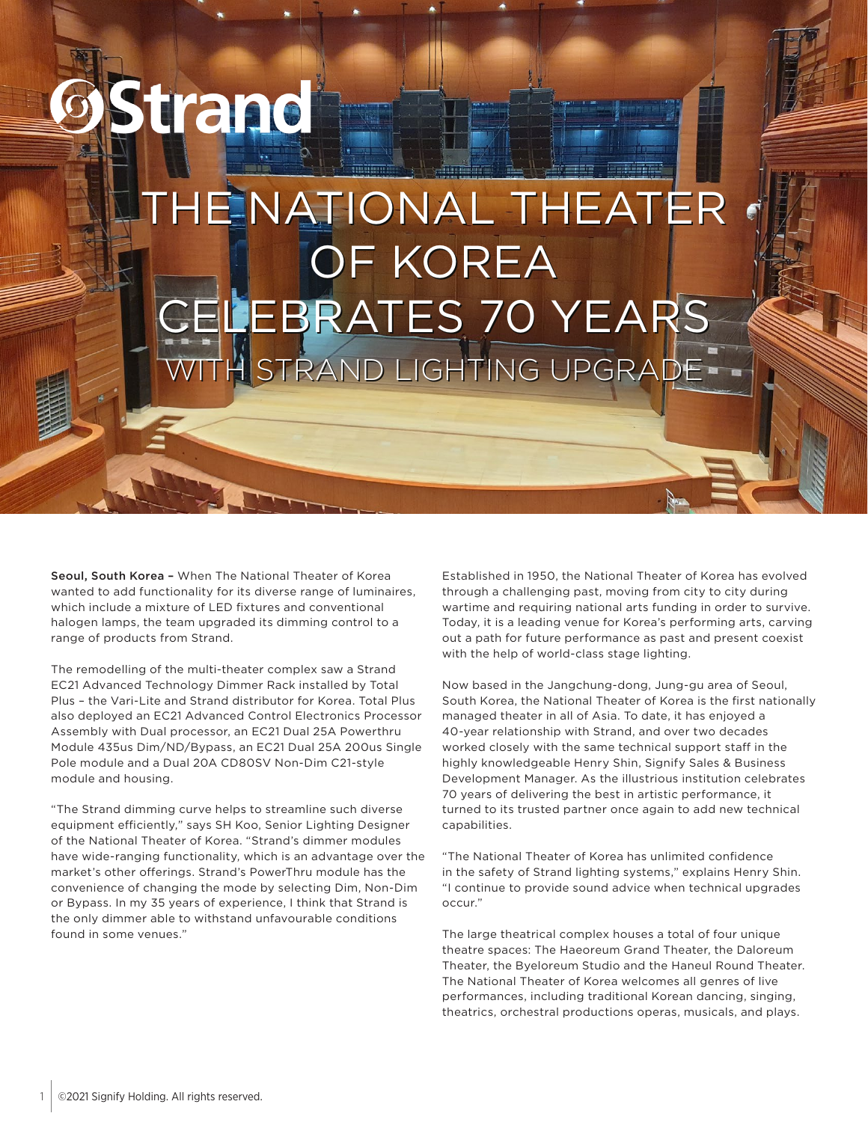## strand THE NATIONAL THEATER OF KOREA OF KOREA CELEBRATES 70 YEARS CELEBRATES 70 YEARS WITH STRAND LIGHTING UPGRADE WITH STRAND LIGHTING UPGRADE

Seoul, South Korea - When The National Theater of Korea wanted to add functionality for its diverse range of luminaires, which include a mixture of LED fixtures and conventional halogen lamps, the team upgraded its dimming control to a range of products from Strand.

The remodelling of the multi-theater complex saw a Strand EC21 Advanced Technology Dimmer Rack installed by Total Plus – the Vari-Lite and Strand distributor for Korea. Total Plus also deployed an EC21 Advanced Control Electronics Processor Assembly with Dual processor, an EC21 Dual 25A Powerthru Module 435us Dim/ND/Bypass, an EC21 Dual 25A 200us Single Pole module and a Dual 20A CD80SV Non-Dim C21-style module and housing.

"The Strand dimming curve helps to streamline such diverse equipment efficiently," says SH Koo, Senior Lighting Designer of the National Theater of Korea. "Strand's dimmer modules have wide-ranging functionality, which is an advantage over the market's other offerings. Strand's PowerThru module has the convenience of changing the mode by selecting Dim, Non-Dim or Bypass. In my 35 years of experience, I think that Strand is the only dimmer able to withstand unfavourable conditions found in some venues."

Established in 1950, the National Theater of Korea has evolved through a challenging past, moving from city to city during wartime and requiring national arts funding in order to survive. Today, it is a leading venue for Korea's performing arts, carving out a path for future performance as past and present coexist with the help of world-class stage lighting.

Now based in the Jangchung-dong, Jung-gu area of Seoul, South Korea, the National Theater of Korea is the first nationally managed theater in all of Asia. To date, it has enjoyed a 40-year relationship with Strand, and over two decades worked closely with the same technical support staff in the highly knowledgeable Henry Shin, Signify Sales & Business Development Manager. As the illustrious institution celebrates 70 years of delivering the best in artistic performance, it turned to its trusted partner once again to add new technical capabilities.

"The National Theater of Korea has unlimited confidence in the safety of Strand lighting systems," explains Henry Shin. "I continue to provide sound advice when technical upgrades occur."

The large theatrical complex houses a total of four unique theatre spaces: The Haeoreum Grand Theater, the Daloreum Theater, the Byeloreum Studio and the Haneul Round Theater. The National Theater of Korea welcomes all genres of live performances, including traditional Korean dancing, singing, theatrics, orchestral productions operas, musicals, and plays.